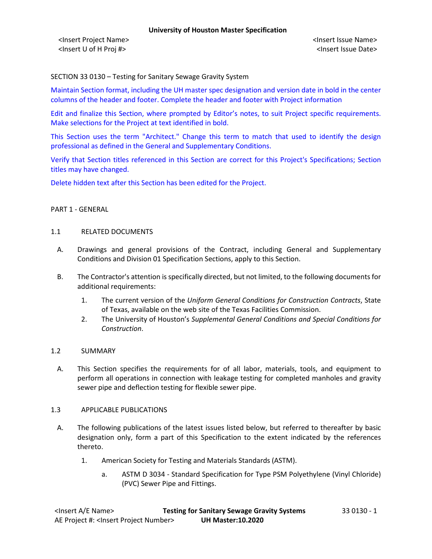SECTION 33 0130 – Testing for Sanitary Sewage Gravity System

Maintain Section format, including the UH master spec designation and version date in bold in the center columns of the header and footer. Complete the header and footer with Project information

Edit and finalize this Section, where prompted by Editor's notes, to suit Project specific requirements. Make selections for the Project at text identified in bold.

This Section uses the term "Architect." Change this term to match that used to identify the design professional as defined in the General and Supplementary Conditions.

Verify that Section titles referenced in this Section are correct for this Project's Specifications; Section titles may have changed.

Delete hidden text after this Section has been edited for the Project.

#### PART 1 - GENERAL

#### 1.1 RELATED DOCUMENTS

- A. Drawings and general provisions of the Contract, including General and Supplementary Conditions and Division 01 Specification Sections, apply to this Section.
- B. The Contractor's attention is specifically directed, but not limited, to the following documents for additional requirements:
	- 1. The current version of the *Uniform General Conditions for Construction Contracts*, State of Texas, available on the web site of the Texas Facilities Commission.
	- 2. The University of Houston's *Supplemental General Conditions and Special Conditions for Construction*.

### 1.2 SUMMARY

A. This Section specifies the requirements for of all labor, materials, tools, and equipment to perform all operations in connection with leakage testing for completed manholes and gravity sewer pipe and deflection testing for flexible sewer pipe.

### 1.3 APPLICABLE PUBLICATIONS

- A. The following publications of the latest issues listed below, but referred to thereafter by basic designation only, form a part of this Specification to the extent indicated by the references thereto.
	- 1. American Society for Testing and Materials Standards (ASTM).
		- a. ASTM D 3034 Standard Specification for Type PSM Polyethylene (Vinyl Chloride) (PVC) Sewer Pipe and Fittings.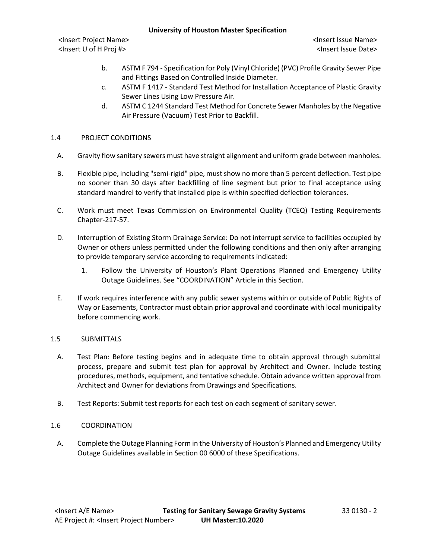<Insert Project Name> <Insert Issue Name> <Insert U of H Proj #> <Insert Issue Date>

- b. ASTM F 794 Specification for Poly (Vinyl Chloride) (PVC) Profile Gravity Sewer Pipe and Fittings Based on Controlled Inside Diameter.
- c. ASTM F 1417 Standard Test Method for Installation Acceptance of Plastic Gravity Sewer Lines Using Low Pressure Air.
- d. ASTM C 1244 Standard Test Method for Concrete Sewer Manholes by the Negative Air Pressure (Vacuum) Test Prior to Backfill.

# 1.4 PROJECT CONDITIONS

- A. Gravity flow sanitary sewers must have straight alignment and uniform grade between manholes.
- B. Flexible pipe, including "semi-rigid" pipe, must show no more than 5 percent deflection. Test pipe no sooner than 30 days after backfilling of line segment but prior to final acceptance using standard mandrel to verify that installed pipe is within specified deflection tolerances.
- C. Work must meet Texas Commission on Environmental Quality (TCEQ) Testing Requirements Chapter-217-57.
- D. Interruption of Existing Storm Drainage Service: Do not interrupt service to facilities occupied by Owner or others unless permitted under the following conditions and then only after arranging to provide temporary service according to requirements indicated:
	- 1. Follow the University of Houston's Plant Operations Planned and Emergency Utility Outage Guidelines. See "COORDINATION" Article in this Section.
- E. If work requires interference with any public sewer systems within or outside of Public Rights of Way or Easements, Contractor must obtain prior approval and coordinate with local municipality before commencing work.

# 1.5 SUBMITTALS

- A. Test Plan: Before testing begins and in adequate time to obtain approval through submittal process, prepare and submit test plan for approval by Architect and Owner. Include testing procedures, methods, equipment, and tentative schedule. Obtain advance written approval from Architect and Owner for deviations from Drawings and Specifications.
- B. Test Reports: Submit test reports for each test on each segment of sanitary sewer.

### 1.6 COORDINATION

A. Complete the Outage Planning Form in the University of Houston's Planned and Emergency Utility Outage Guidelines available in Section 00 6000 of these Specifications.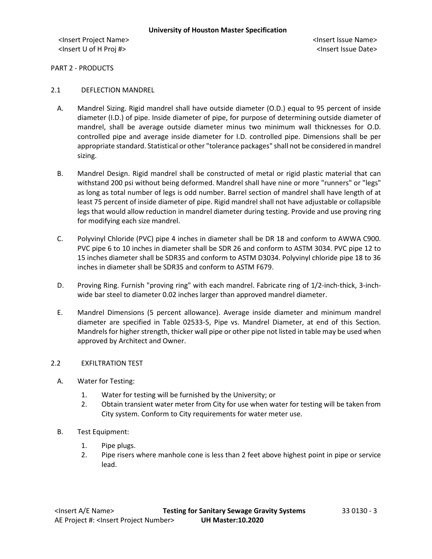PART 2 - PRODUCTS

- 2.1 DEFLECTION MANDREL
	- A. Mandrel Sizing. Rigid mandrel shall have outside diameter (O.D.) equal to 95 percent of inside diameter (I.D.) of pipe. Inside diameter of pipe, for purpose of determining outside diameter of mandrel, shall be average outside diameter minus two minimum wall thicknesses for O.D. controlled pipe and average inside diameter for I.D. controlled pipe. Dimensions shall be per appropriate standard. Statistical or other "tolerance packages" shall not be considered in mandrel sizing.
	- B. Mandrel Design. Rigid mandrel shall be constructed of metal or rigid plastic material that can withstand 200 psi without being deformed. Mandrel shall have nine or more "runners" or "legs" as long as total number of legs is odd number. Barrel section of mandrel shall have length of at least 75 percent of inside diameter of pipe. Rigid mandrel shall not have adjustable or collapsible legs that would allow reduction in mandrel diameter during testing. Provide and use proving ring for modifying each size mandrel.
	- C. Polyvinyl Chloride (PVC) pipe 4 inches in diameter shall be DR 18 and conform to AWWA C900. PVC pipe 6 to 10 inches in diameter shall be SDR 26 and conform to ASTM 3034. PVC pipe 12 to 15 inches diameter shall be SDR35 and conform to ASTM D3034. Polyvinyl chloride pipe 18 to 36 inches in diameter shall be SDR35 and conform to ASTM F679.
	- D. Proving Ring. Furnish "proving ring" with each mandrel. Fabricate ring of 1/2-inch-thick, 3-inchwide bar steel to diameter 0.02 inches larger than approved mandrel diameter.
	- E. Mandrel Dimensions (5 percent allowance). Average inside diameter and minimum mandrel diameter are specified in Table 02533-5, Pipe vs. Mandrel Diameter, at end of this Section. Mandrels for higher strength, thicker wall pipe or other pipe not listed in table may be used when approved by Architect and Owner.

# 2.2 EXFILTRATION TEST

- A. Water for Testing:
	- 1. Water for testing will be furnished by the University; or
	- 2. Obtain transient water meter from City for use when water for testing will be taken from City system. Conform to City requirements for water meter use.
- B. Test Equipment:
	- 1. Pipe plugs.
	- 2. Pipe risers where manhole cone is less than 2 feet above highest point in pipe or service lead.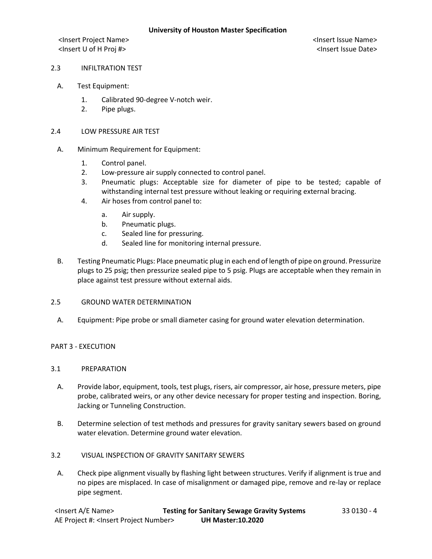#### 2.3 INFILTRATION TEST

- A. Test Equipment:
	- 1. Calibrated 90-degree V-notch weir.
	- 2. Pipe plugs.

#### 2.4 LOW PRESSURE AIR TEST

- A. Minimum Requirement for Equipment:
	- 1. Control panel.
	- 2. Low-pressure air supply connected to control panel.
	- 3. Pneumatic plugs: Acceptable size for diameter of pipe to be tested; capable of withstanding internal test pressure without leaking or requiring external bracing.
	- 4. Air hoses from control panel to:
		- a. Air supply.
		- b. Pneumatic plugs.
		- c. Sealed line for pressuring.
		- d. Sealed line for monitoring internal pressure.
- B. Testing Pneumatic Plugs: Place pneumatic plug in each end of length of pipe on ground. Pressurize plugs to 25 psig; then pressurize sealed pipe to 5 psig. Plugs are acceptable when they remain in place against test pressure without external aids.

## 2.5 GROUND WATER DETERMINATION

A. Equipment: Pipe probe or small diameter casing for ground water elevation determination.

### PART 3 - EXECUTION

## 3.1 PREPARATION

- A. Provide labor, equipment, tools, test plugs, risers, air compressor, air hose, pressure meters, pipe probe, calibrated weirs, or any other device necessary for proper testing and inspection. Boring, Jacking or Tunneling Construction.
- B. Determine selection of test methods and pressures for gravity sanitary sewers based on ground water elevation. Determine ground water elevation.

### 3.2 VISUAL INSPECTION OF GRAVITY SANITARY SEWERS

A. Check pipe alignment visually by flashing light between structures. Verify if alignment is true and no pipes are misplaced. In case of misalignment or damaged pipe, remove and re-lay or replace pipe segment.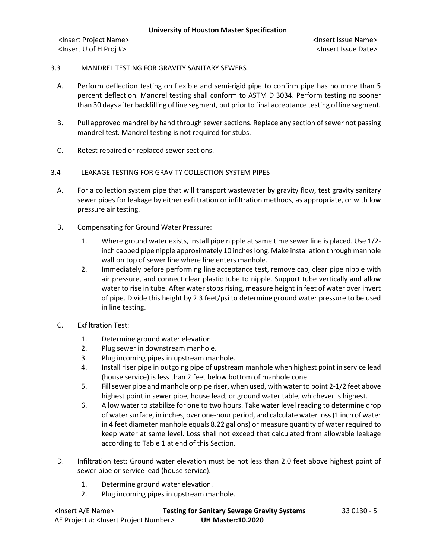## 3.3 MANDREL TESTING FOR GRAVITY SANITARY SEWERS

- A. Perform deflection testing on flexible and semi-rigid pipe to confirm pipe has no more than 5 percent deflection. Mandrel testing shall conform to ASTM D 3034. Perform testing no sooner than 30 days after backfilling of line segment, but prior to final acceptance testing of line segment.
- B. Pull approved mandrel by hand through sewer sections. Replace any section of sewer not passing mandrel test. Mandrel testing is not required for stubs.
- C. Retest repaired or replaced sewer sections.

## 3.4 LEAKAGE TESTING FOR GRAVITY COLLECTION SYSTEM PIPES

- A. For a collection system pipe that will transport wastewater by gravity flow, test gravity sanitary sewer pipes for leakage by either exfiltration or infiltration methods, as appropriate, or with low pressure air testing.
- B. Compensating for Ground Water Pressure:
	- 1. Where ground water exists, install pipe nipple at same time sewer line is placed. Use 1/2 inch capped pipe nipple approximately 10 inches long. Make installation through manhole wall on top of sewer line where line enters manhole.
	- 2. Immediately before performing line acceptance test, remove cap, clear pipe nipple with air pressure, and connect clear plastic tube to nipple. Support tube vertically and allow water to rise in tube. After water stops rising, measure height in feet of water over invert of pipe. Divide this height by 2.3 feet/psi to determine ground water pressure to be used in line testing.
- C. Exfiltration Test:
	- 1. Determine ground water elevation.
	- 2. Plug sewer in downstream manhole.
	- 3. Plug incoming pipes in upstream manhole.
	- 4. Install riser pipe in outgoing pipe of upstream manhole when highest point in service lead (house service) is less than 2 feet below bottom of manhole cone.
	- 5. Fill sewer pipe and manhole or pipe riser, when used, with water to point 2-1/2 feet above highest point in sewer pipe, house lead, or ground water table, whichever is highest.
	- 6. Allow water to stabilize for one to two hours. Take water level reading to determine drop of water surface, in inches, over one-hour period, and calculate water loss (1 inch of water in 4 feet diameter manhole equals 8.22 gallons) or measure quantity of water required to keep water at same level. Loss shall not exceed that calculated from allowable leakage according to Table 1 at end of this Section.
- D. Infiltration test: Ground water elevation must be not less than 2.0 feet above highest point of sewer pipe or service lead (house service).
	- 1. Determine ground water elevation.
	- 2. Plug incoming pipes in upstream manhole.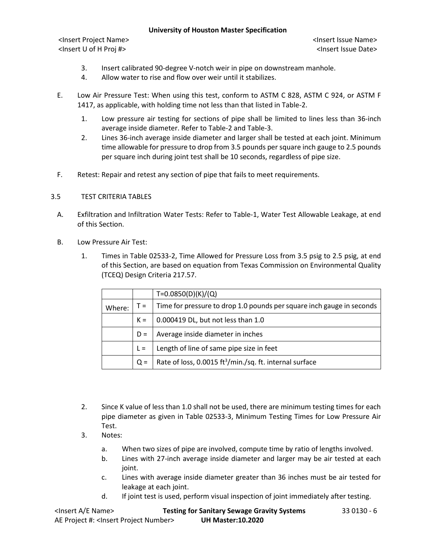<Insert Project Name> <Insert Issue Name> <Insert U of H Proj #> <Insert Issue Date>

- 3. Insert calibrated 90-degree V-notch weir in pipe on downstream manhole.
- 4. Allow water to rise and flow over weir until it stabilizes.
- E. Low Air Pressure Test: When using this test, conform to ASTM C 828, ASTM C 924, or ASTM F 1417, as applicable, with holding time not less than that listed in Table-2.
	- 1. Low pressure air testing for sections of pipe shall be limited to lines less than 36-inch average inside diameter. Refer to Table-2 and Table-3.
	- 2. Lines 36-inch average inside diameter and larger shall be tested at each joint. Minimum time allowable for pressure to drop from 3.5 pounds per square inch gauge to 2.5 pounds per square inch during joint test shall be 10 seconds, regardless of pipe size.
- F. Retest: Repair and retest any section of pipe that fails to meet requirements.

### 3.5 TEST CRITERIA TABLES

- A. Exfiltration and Infiltration Water Tests: Refer to Table-1, Water Test Allowable Leakage, at end of this Section.
- B. Low Pressure Air Test:
	- 1. Times in Table 02533-2, Time Allowed for Pressure Loss from 3.5 psig to 2.5 psig, at end of this Section, are based on equation from Texas Commission on Environmental Quality (TCEQ) Design Criteria 217.57.

|        |       | T=0.0850(D)(K)/(Q)                                                    |
|--------|-------|-----------------------------------------------------------------------|
| Where: | $T =$ | Time for pressure to drop 1.0 pounds per square inch gauge in seconds |
|        | $K =$ | 0.000419 DL, but not less than 1.0                                    |
|        | $D =$ | Average inside diameter in inches                                     |
|        | $L =$ | Length of line of same pipe size in feet                              |
|        | $Q =$ | Rate of loss, 0.0015 ft <sup>3</sup> /min./sq. ft. internal surface   |

- 2. Since K value of less than 1.0 shall not be used, there are minimum testing times for each pipe diameter as given in Table 02533-3, Minimum Testing Times for Low Pressure Air Test.
- 3. Notes:
	- a. When two sizes of pipe are involved, compute time by ratio of lengths involved.
	- b. Lines with 27-inch average inside diameter and larger may be air tested at each joint.
	- c. Lines with average inside diameter greater than 36 inches must be air tested for leakage at each joint.
	- d. If joint test is used, perform visual inspection of joint immediately after testing.

| <lnsert a="" e="" name=""></lnsert>                  | <b>Testing for Sanitary Sewage Gravity Systems</b> | 33 0130 - 6 |
|------------------------------------------------------|----------------------------------------------------|-------------|
| AE Project #: <lnsert number="" project=""></lnsert> | <b>UH Master:10.2020</b>                           |             |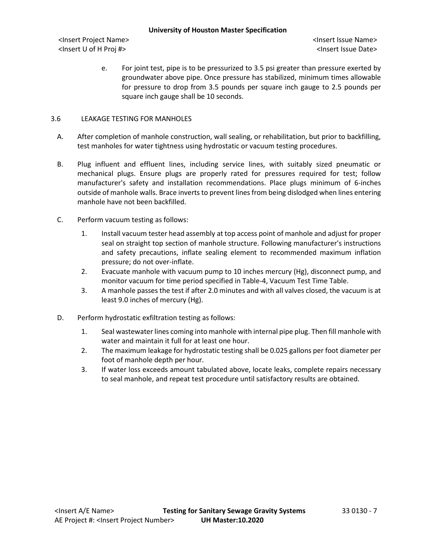<Insert Project Name> <Insert Issue Name> <Insert U of H Proj #> <Insert Issue Date>

e. For joint test, pipe is to be pressurized to 3.5 psi greater than pressure exerted by groundwater above pipe. Once pressure has stabilized, minimum times allowable for pressure to drop from 3.5 pounds per square inch gauge to 2.5 pounds per square inch gauge shall be 10 seconds.

# 3.6 LEAKAGE TESTING FOR MANHOLES

- A. After completion of manhole construction, wall sealing, or rehabilitation, but prior to backfilling, test manholes for water tightness using hydrostatic or vacuum testing procedures.
- B. Plug influent and effluent lines, including service lines, with suitably sized pneumatic or mechanical plugs. Ensure plugs are properly rated for pressures required for test; follow manufacturer's safety and installation recommendations. Place plugs minimum of 6-inches outside of manhole walls. Brace inverts to prevent lines from being dislodged when lines entering manhole have not been backfilled.
- C. Perform vacuum testing as follows:
	- 1. Install vacuum tester head assembly at top access point of manhole and adjust for proper seal on straight top section of manhole structure. Following manufacturer's instructions and safety precautions, inflate sealing element to recommended maximum inflation pressure; do not over-inflate.
	- 2. Evacuate manhole with vacuum pump to 10 inches mercury (Hg), disconnect pump, and monitor vacuum for time period specified in Table-4, Vacuum Test Time Table.
	- 3. A manhole passes the test if after 2.0 minutes and with all valves closed, the vacuum is at least 9.0 inches of mercury (Hg).
- D. Perform hydrostatic exfiltration testing as follows:
	- 1. Seal wastewater lines coming into manhole with internal pipe plug. Then fill manhole with water and maintain it full for at least one hour.
	- 2. The maximum leakage for hydrostatic testing shall be 0.025 gallons per foot diameter per foot of manhole depth per hour.
	- 3. If water loss exceeds amount tabulated above, locate leaks, complete repairs necessary to seal manhole, and repeat test procedure until satisfactory results are obtained.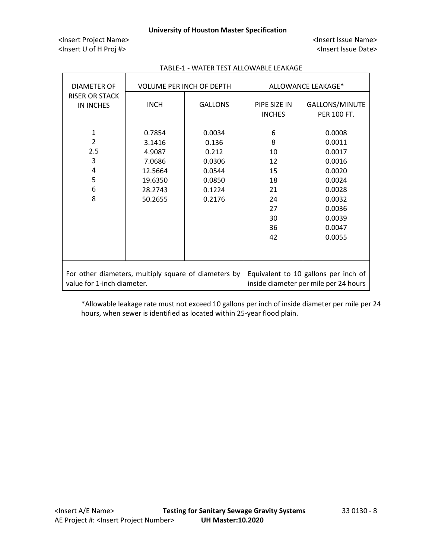<Insert Project Name> <Insert Issue Name> <Insert U of H Proj #> <Insert Issue Date>

| DIAMETER OF                                                                        |                                                                                  | <b>VOLUME PER INCH OF DEPTH</b>                                            | ALLOWANCE LEAKAGE*                                                 |                                                                                                                      |  |
|------------------------------------------------------------------------------------|----------------------------------------------------------------------------------|----------------------------------------------------------------------------|--------------------------------------------------------------------|----------------------------------------------------------------------------------------------------------------------|--|
| <b>RISER OR STACK</b><br>IN INCHES                                                 | <b>INCH</b>                                                                      | <b>GALLONS</b>                                                             | PIPE SIZE IN<br><b>INCHES</b>                                      | <b>GALLONS/MINUTE</b><br><b>PER 100 FT.</b>                                                                          |  |
| 1<br>$\mathcal{P}$<br>2.5<br>3<br>4<br>5<br>6<br>8                                 | 0.7854<br>3.1416<br>4.9087<br>7.0686<br>12.5664<br>19.6350<br>28.2743<br>50.2655 | 0.0034<br>0.136<br>0.212<br>0.0306<br>0.0544<br>0.0850<br>0.1224<br>0.2176 | 6<br>8<br>10<br>12<br>15<br>18<br>21<br>24<br>27<br>30<br>36<br>42 | 0.0008<br>0.0011<br>0.0017<br>0.0016<br>0.0020<br>0.0024<br>0.0028<br>0.0032<br>0.0036<br>0.0039<br>0.0047<br>0.0055 |  |
| For other diameters, multiply square of diameters by<br>value for 1-inch diameter. |                                                                                  |                                                                            |                                                                    | Equivalent to 10 gallons per inch of<br>inside diameter per mile per 24 hours                                        |  |

# TABLE-1 - WATER TEST ALLOWABLE LEAKAGE

\*Allowable leakage rate must not exceed 10 gallons per inch of inside diameter per mile per 24 hours, when sewer is identified as located within 25-year flood plain.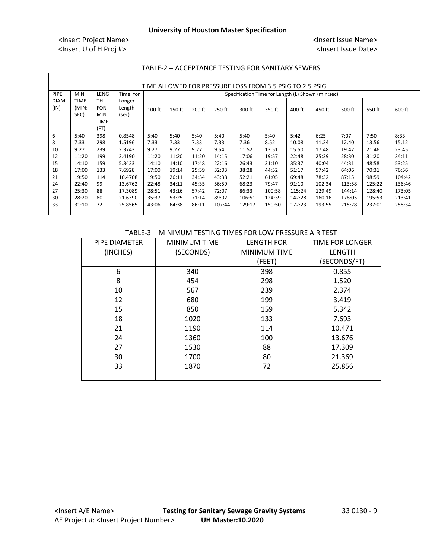| TIME ALLOWED FOR PRESSURE LOSS FROM 3.5 PSIG TO 2.5 PSIG |                                                                                     |                                                 |                           |        |          |          |          |          |        |        |        |        |        |        |
|----------------------------------------------------------|-------------------------------------------------------------------------------------|-------------------------------------------------|---------------------------|--------|----------|----------|----------|----------|--------|--------|--------|--------|--------|--------|
| PIPE                                                     | LENG<br>Time for<br><b>MIN</b><br>Specification Time for Length (L) Shown (min:sec) |                                                 |                           |        |          |          |          |          |        |        |        |        |        |        |
| DIAM.<br>(IN)                                            | <b>TIME</b><br>(MIN:<br>SEC)                                                        | тн<br><b>FOR</b><br>MIN.<br><b>TIME</b><br>(FT) | Longer<br>Length<br>(sec) | 100 ft | $150$ ft | $200$ ft | $250$ ft | $300$ ft | 350 ft | 400 ft | 450 ft | 500 ft | 550 ft | 600 ft |
| 6                                                        | 5:40                                                                                | 398                                             | 0.8548                    | 5:40   | 5:40     | 5:40     | 5:40     | 5:40     | 5:40   | 5:42   | 6:25   | 7:07   | 7:50   | 8:33   |
| 8                                                        | 7:33                                                                                | 298                                             | 1.5196                    | 7:33   | 7:33     | 7:33     | 7:33     | 7:36     | 8:52   | 10:08  | 11:24  | 12:40  | 13:56  | 15:12  |
| 10                                                       | 9:27                                                                                | 239                                             | 2.3743                    | 9:27   | 9:27     | 9:27     | 9:54     | 11:52    | 13:51  | 15:50  | 17:48  | 19:47  | 21:46  | 23:45  |
| 12                                                       | 11:20                                                                               | 199                                             | 3.4190                    | 11:20  | 11:20    | 11:20    | 14:15    | 17:06    | 19:57  | 22:48  | 25:39  | 28:30  | 31:20  | 34:11  |
| 15                                                       | 14:10                                                                               | 159                                             | 5.3423                    | 14:10  | 14:10    | 17:48    | 22:16    | 26:43    | 31:10  | 35:37  | 40:04  | 44:31  | 48:58  | 53:25  |
| 18                                                       | 17:00                                                                               | 133                                             | 7.6928                    | 17:00  | 19:14    | 25:39    | 32:03    | 38:28    | 44:52  | 51:17  | 57:42  | 64:06  | 70:31  | 76:56  |
| 21                                                       | 19:50                                                                               | 114                                             | 10.4708                   | 19:50  | 26:11    | 34:54    | 43:38    | 52:21    | 61:05  | 69:48  | 78:32  | 87:15  | 98:59  | 104:42 |
| 24                                                       | 22:40                                                                               | 99                                              | 13.6762                   | 22:48  | 34:11    | 45:35    | 56:59    | 68:23    | 79:47  | 91:10  | 102:34 | 113:58 | 125:22 | 136:46 |
| 27                                                       | 25:30                                                                               | 88                                              | 17.3089                   | 28:51  | 43:16    | 57:42    | 72:07    | 86:33    | 100:58 | 115:24 | 129:49 | 144:14 | 128:40 | 173:05 |
| 30                                                       | 28:20                                                                               | 80                                              | 21.6390                   | 35:37  | 53:25    | 71:14    | 89:02    | 106:51   | 124:39 | 142:28 | 160:16 | 178:05 | 195:53 | 213:41 |
| 33                                                       | 31:10                                                                               | 72                                              | 25.8565                   | 43:06  | 64:38    | 86:11    | 107:44   | 129:17   | 150:50 | 172:23 | 193:55 | 215:28 | 237:01 | 258:34 |

## TABLE-2 – ACCEPTANCE TESTING FOR SANITARY SEWERS

#### TABLE-3 – MINIMUM TESTING TIMES FOR LOW PRESSURE AIR TEST

| PIPE DIAMETER | <b>MINIMUM TIME</b> | <b>LENGTH FOR</b>   | TIME FOR LONGER |
|---------------|---------------------|---------------------|-----------------|
| (INCHES)      | (SECONDS)           | <b>MINIMUM TIME</b> | <b>LENGTH</b>   |
|               |                     | (FEET)              | (SECONDS/FT)    |
| 6             | 340                 | 398                 | 0.855           |
| 8             | 454                 | 298                 | 1.520           |
| 10            | 567                 | 239                 | 2.374           |
| 12            | 680                 | 199                 | 3.419           |
| 15            | 850                 | 159                 | 5.342           |
| 18            | 1020                | 133                 | 7.693           |
| 21            | 1190                | 114                 | 10.471          |
| 24            | 1360                | 100                 | 13.676          |
| 27            | 1530                | 88                  | 17.309          |
| 30            | 1700                | 80                  | 21.369          |
| 33            | 1870                | 72                  | 25.856          |
|               |                     |                     |                 |